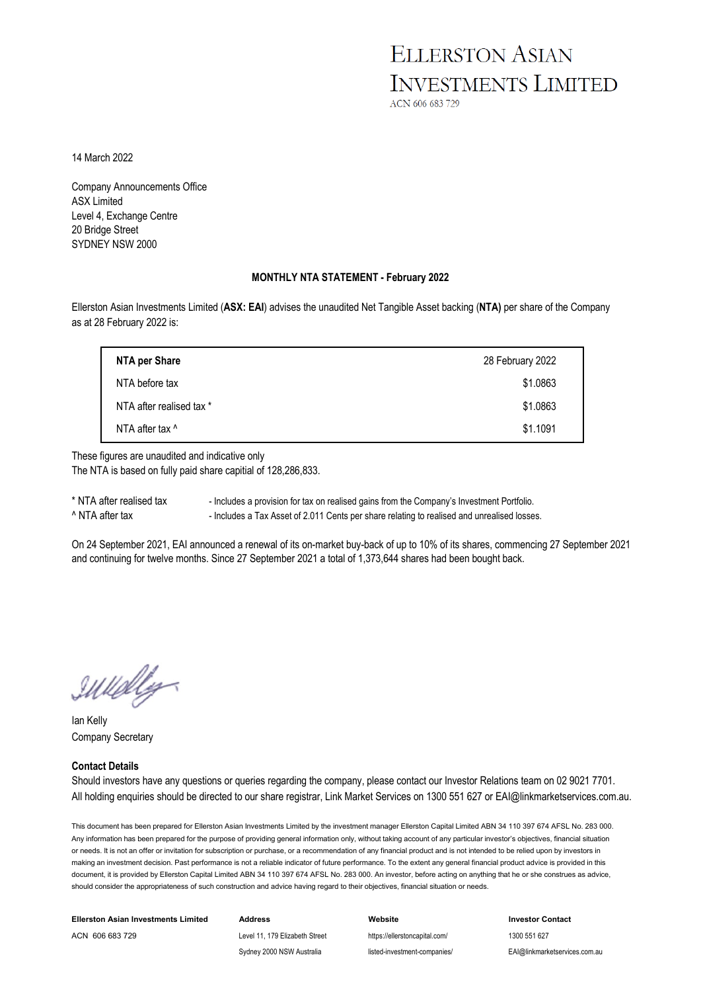## **ELLERSTON ASIAN INVESTMENTS LIMITED**

ACN 606 683 729

14 March 2022

Company Announcements Office ASX Limited Level 4, Exchange Centre 20 Bridge Street SYDNEY NSW 2000

#### **MONTHLY NTA STATEMENT - February 2022**

Ellerston Asian Investments Limited (**ASX: EAI**) advises the unaudited Net Tangible Asset backing (**NTA)** per share of the Company as at 28 February 2022 is:

| NTA per Share            | 28 February 2022 |
|--------------------------|------------------|
| NTA before tax           | \$1.0863         |
| NTA after realised tax * | \$1.0863         |
| NTA after tax ^          | \$1.1091         |

These figures are unaudited and indicative only The NTA is based on fully paid share capitial of 128,286,833.

\* NTA after realised tax - Includes a provision for tax on realised gains from the Company's Investment Portfolio. ^ NTA after tax - Includes a Tax Asset of 2.011 Cents per share relating to realised and unrealised losses.

On 24 September 2021, EAI announced a renewal of its on-market buy-back of up to 10% of its shares, commencing 27 September 2021 and continuing for twelve months. Since 27 September 2021 a total of 1,373,644 shares had been bought back.

IWUDly

Ian Kelly Company Secretary

#### **Contact Details**

Should investors have any questions or queries regarding the company, please contact our Investor Relations team on 02 9021 7701. All holding enquiries should be directed to our share registrar, Link Market Services on 1300 551 627 or EAI@linkmarketservices.com.au.

This document has been prepared for Ellerston Asian Investments Limited by the investment manager Ellerston Capital Limited ABN 34 110 397 674 AFSL No. 283 000. Any information has been prepared for the purpose of providing general information only, without taking account of any particular investor's objectives, financial situation or needs. It is not an offer or invitation for subscription or purchase, or a recommendation of any financial product and is not intended to be relied upon by investors in making an investment decision. Past performance is not a reliable indicator of future performance. To the extent any general financial product advice is provided in this document, it is provided by Ellerston Capital Limited ABN 34 110 397 674 AFSL No. 283 000. An investor, before acting on anything that he or she construes as advice. should consider the appropriateness of such construction and advice having regard to their objectives, financial situation or needs.

| Ellerston Asian Investments Limited | Address                        | Website                       | <b>Investor Contact</b>       |
|-------------------------------------|--------------------------------|-------------------------------|-------------------------------|
| ACN 606 683 729                     | Level 11, 179 Elizabeth Street | https://ellerstoncapital.com/ | 1300 551 627                  |
|                                     | Sydney 2000 NSW Australia      | listed-investment-companies/  | EAI@linkmarketservices.com.au |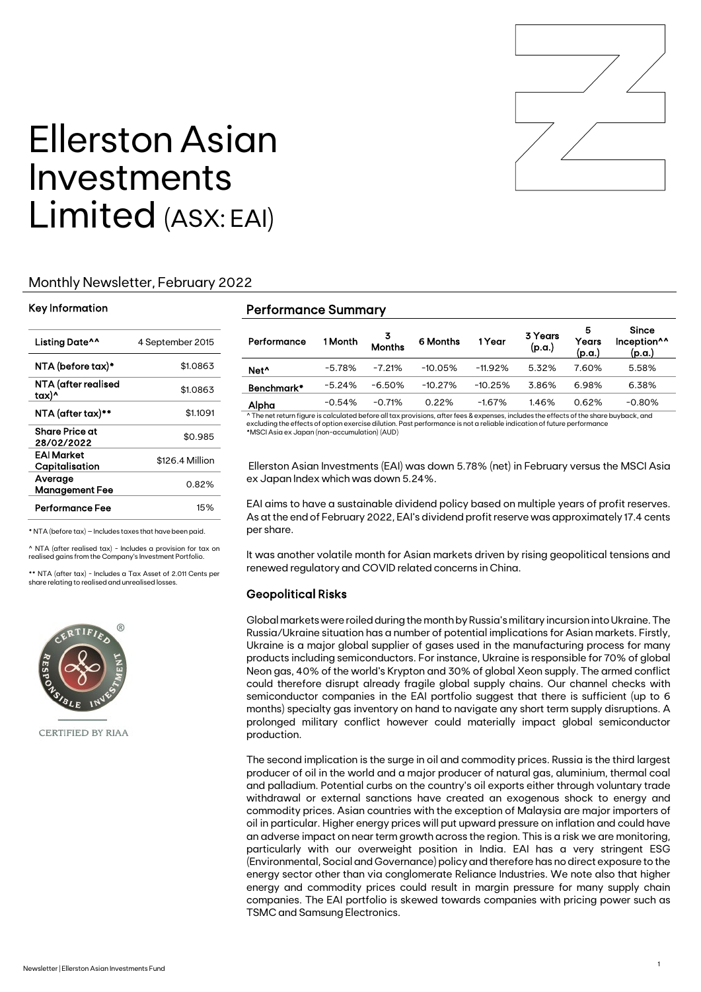

# Ellerston Asian Investments Limited (ASX: EAI)

#### Monthly Newsletter, February 2022

#### Key Information

| Listing Date^^                   | 4 September 2015 |
|----------------------------------|------------------|
| NTA (before tax)*                | \$1.0863         |
| NTA (after realised<br>tax)^     | \$1.0863         |
| NTA (after tax)**                | \$1.1091         |
| Share Price at<br>28/02/2022     | \$0.985          |
| EAI Market<br>Capitalisation     | \$126.4 Million  |
| Average<br><b>Management Fee</b> | 0.82%            |
| Performance Fee                  | 15%              |

\* NTA (before tax) – Includes taxes that have been paid.

 $\land$  NTA (after realised tax) - Includes a provision for tax on realised gains from the Company's Investment Portfolio.

\*\* NTA (after tax) - Includes a Tax Asset of 2.011 Cents per share relating to realised and unrealised losses.



**CERTIFIED BY RIAA** 

#### Performance Summary

| Performance      | 1 Month  | 3<br>Months | 6 Months  | 1 Year    | 3 Years<br>(p.a.) | 5<br>Years<br>(p.a.) | <b>Since</b><br>Inception <sup>^^</sup><br>(p.a.) |
|------------------|----------|-------------|-----------|-----------|-------------------|----------------------|---------------------------------------------------|
| Net <sup>^</sup> | $-5.78%$ | $-7.21%$    | $-10.05%$ | $-11.92%$ | 5.32%             | 7.60%                | 5.58%                                             |
| Benchmark*       | $-5.24%$ | $-6.50\%$   | $-10.27%$ | $-10.25%$ | 3.86%             | 6.98%                | 6.38%                                             |
| Alpha            | $-0.54%$ | $-0.71%$    | 0.22%     | $-1.67%$  | 1.46%             | 0.62%                | $-0.80%$                                          |

^ The net return figure is calculated before all tax provisions, after fees & expenses, includes the effects of the share buyback, and excluding the effects of option exercise dilution. Past performance is not a reliable indication of future performance \*MSCI Asia ex Japan (non-accumulation) (AUD)

Ellerston Asian Investments (EAI) was down 5.78% (net) in February versus the MSCI Asia ex Japan Index which was down 5.24%.

EAI aims to have a sustainable dividend policy based on multiple years of profit reserves. As at the end of February 2022, EAI's dividend profit reserve was approximately 17.4 cents per share.

It was another volatile month for Asian markets driven by rising geopolitical tensions and renewed regulatory and COVID related concerns in China.

#### Geopolitical Risks

Global markets were roiled during the month by Russia's military incursion into Ukraine. The Russia/Ukraine situation has a number of potential implications for Asian markets. Firstly, Ukraine is a major global supplier of gases used in the manufacturing process for many products including semiconductors. For instance, Ukraine is responsible for 70% of global Neon gas, 40% of the world's Krypton and 30% of global Xeon supply. The armed conflict could therefore disrupt already fragile global supply chains. Our channel checks with semiconductor companies in the EAI portfolio suggest that there is sufficient (up to 6 months) specialty gas inventory on hand to navigate any short term supply disruptions. A prolonged military conflict however could materially impact global semiconductor production.

The second implication is the surge in oil and commodity prices. Russia is the third largest producer of oil in the world and a major producer of natural gas, aluminium, thermal coal and palladium. Potential curbs on the country's oil exports either through voluntary trade withdrawal or external sanctions have created an exogenous shock to energy and commodity prices. Asian countries with the exception of Malaysia are major importers of oil in particular. Higher energy prices will put upward pressure on inflation and could have an adverse impact on near term growth across the region. This is a risk we are monitoring, particularly with our overweight position in India. EAI has a very stringent ESG (Environmental, Social and Governance) policy and therefore has no direct exposure to the energy sector other than via conglomerate Reliance Industries. We note also that higher energy and commodity prices could result in margin pressure for many supply chain companies. The EAI portfolio is skewed towards companies with pricing power such as TSMC and Samsung Electronics.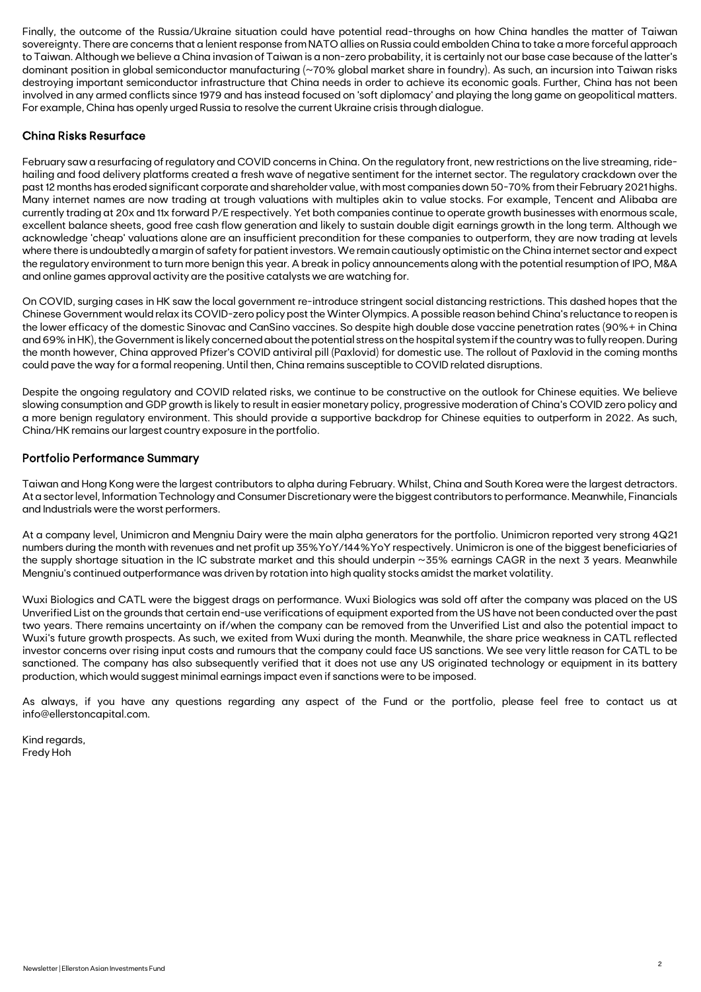Finally, the outcome of the Russia/Ukraine situation could have potential read-throughs on how China handles the matter of Taiwan sovereignty. There are concerns that a lenient response from NATO allies on Russia could embolden China to take a more forceful approach to Taiwan. Although we believe a China invasion of Taiwan is a non-zero probability, it is certainly not our base case because of the latter's dominant position in global semiconductor manufacturing (~70% global market share in foundry). As such, an incursion into Taiwan risks destroying important semiconductor infrastructure that China needs in order to achieve its economic goals. Further, China has not been involved in any armed conflicts since 1979 and has instead focused on 'soft diplomacy' and playing the long game on geopolitical matters. For example, China has openly urged Russia to resolve the current Ukraine crisis through dialogue.

#### China Risks Resurface

February saw a resurfacing of regulatory and COVID concerns in China. On the regulatory front, new restrictions on the live streaming, ridehailing and food delivery platforms created a fresh wave of negative sentiment for the internet sector. The regulatory crackdown over the past 12 months has eroded significant corporate and shareholder value, with most companies down 50-70% from their February 2021 highs. Many internet names are now trading at trough valuations with multiples akin to value stocks. For example, Tencent and Alibaba are currently trading at 20x and 11x forward P/E respectively. Yet both companies continue to operate growth businesses with enormous scale, excellent balance sheets, good free cash flow generation and likely to sustain double digit earnings growth in the long term. Although we acknowledge 'cheap' valuations alone are an insufficient precondition for these companies to outperform, they are now trading at levels where there is undoubtedly a margin of safety for patient investors. We remain cautiously optimistic on the China internet sector and expect the regulatory environment to turn more benign this year. A break in policy announcements along with the potential resumption of IPO, M&A and online games approval activity are the positive catalysts we are watching for.

On COVID, surging cases in HK saw the local government re-introduce stringent social distancing restrictions. This dashed hopes that the Chinese Government would relax its COVID-zero policy post the Winter Olympics. A possible reason behind China's reluctance to reopen is the lower efficacy of the domestic Sinovac and CanSino vaccines. So despite high double dose vaccine penetration rates (90%+ in China and 69% in HK), the Government is likely concerned about the potential stress on the hospital system if the country was to fully reopen. During the month however, China approved Pfizer's COVID antiviral pill (Paxlovid) for domestic use. The rollout of Paxlovid in the coming months could pave the way for a formal reopening. Until then, China remains susceptible to COVID related disruptions.

Despite the ongoing regulatory and COVID related risks, we continue to be constructive on the outlook for Chinese equities. We believe slowing consumption and GDP growth is likely to result in easier monetary policy, progressive moderation of China's COVID zero policy and a more benign regulatory environment. This should provide a supportive backdrop for Chinese equities to outperform in 2022. As such, China/HK remains our largest country exposure in the portfolio.

#### Portfolio Performance Summary

Taiwan and Hong Kong were the largest contributors to alpha during February. Whilst, China and South Korea were the largest detractors. At a sector level, Information Technology and Consumer Discretionary were the biggest contributors to performance. Meanwhile, Financials and Industrials were the worst performers.

At a company level, Unimicron and Mengniu Dairy were the main alpha generators for the portfolio. Unimicron reported very strong 4Q21 numbers during the month with revenues and net profit up 35%YoY/144%YoY respectively. Unimicron is one of the biggest beneficiaries of the supply shortage situation in the IC substrate market and this should underpin ~35% earnings CAGR in the next 3 years. Meanwhile Mengniu's continued outperformance was driven by rotation into high quality stocks amidst the market volatility.

Wuxi Biologics and CATL were the biggest drags on performance. Wuxi Biologics was sold off after the company was placed on the US Unverified List on the grounds that certain end-use verifications of equipment exported from the US have not been conducted over the past two years. There remains uncertainty on if/when the company can be removed from the Unverified List and also the potential impact to Wuxi's future growth prospects. As such, we exited from Wuxi during the month. Meanwhile, the share price weakness in CATL reflected investor concerns over rising input costs and rumours that the company could face US sanctions. We see very little reason for CATL to be sanctioned. The company has also subsequently verified that it does not use any US originated technology or equipment in its battery production, which would suggest minimal earnings impact even if sanctions were to be imposed.

As always, if you have any questions regarding any aspect of the Fund or the portfolio, please feel free to contact us at info@ellerstoncapital.com.

Kind regards, Fredy Hoh